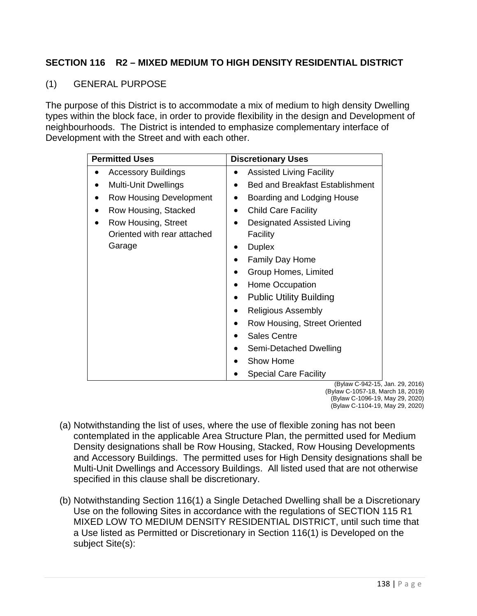## **SECTION 116 R2 – MIXED MEDIUM TO HIGH DENSITY RESIDENTIAL DISTRICT**

## (1) GENERAL PURPOSE

The purpose of this District is to accommodate a mix of medium to high density Dwelling types within the block face, in order to provide flexibility in the design and Development of neighbourhoods. The District is intended to emphasize complementary interface of Development with the Street and with each other.

| <b>Permitted Uses</b>          | <b>Discretionary Uses</b>                   |
|--------------------------------|---------------------------------------------|
| <b>Accessory Buildings</b>     | <b>Assisted Living Facility</b>             |
| <b>Multi-Unit Dwellings</b>    | <b>Bed and Breakfast Establishment</b><br>● |
| <b>Row Housing Development</b> | Boarding and Lodging House                  |
| Row Housing, Stacked           | <b>Child Care Facility</b>                  |
| Row Housing, Street            | <b>Designated Assisted Living</b>           |
| Oriented with rear attached    | Facility                                    |
| Garage                         | <b>Duplex</b>                               |
|                                | <b>Family Day Home</b>                      |
|                                | Group Homes, Limited                        |
|                                | Home Occupation                             |
|                                | <b>Public Utility Building</b>              |
|                                | <b>Religious Assembly</b>                   |
|                                | Row Housing, Street Oriented                |
|                                | <b>Sales Centre</b>                         |
|                                | Semi-Detached Dwelling                      |
|                                | Show Home                                   |
|                                | <b>Special Care Facility</b>                |
|                                | (Bylaw C-942-15 Ja                          |

Jan. 29, 2016) (Bylaw C-1057-18, March 18, 2019) (Bylaw C-1096-19, May 29, 2020) (Bylaw C-1104-19, May 29, 2020)

- (a) Notwithstanding the list of uses, where the use of flexible zoning has not been contemplated in the applicable Area Structure Plan, the permitted used for Medium Density designations shall be Row Housing, Stacked, Row Housing Developments and Accessory Buildings. The permitted uses for High Density designations shall be Multi-Unit Dwellings and Accessory Buildings. All listed used that are not otherwise specified in this clause shall be discretionary.
- (b) Notwithstanding Section 116(1) a Single Detached Dwelling shall be a Discretionary Use on the following Sites in accordance with the regulations of SECTION 115 R1 MIXED LOW TO MEDIUM DENSITY RESIDENTIAL DISTRICT, until such time that a Use listed as Permitted or Discretionary in Section 116(1) is Developed on the subject Site(s):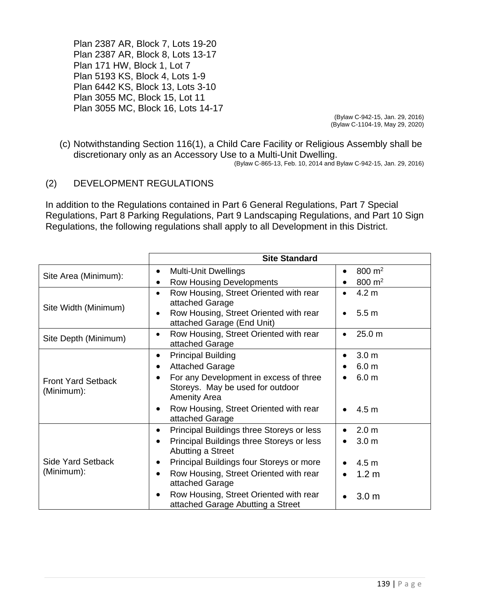Plan 2387 AR, Block 7, Lots 19-20 Plan 2387 AR, Block 8, Lots 13-17 Plan 171 HW, Block 1, Lot 7 Plan 5193 KS, Block 4, Lots 1-9 Plan 6442 KS, Block 13, Lots 3-10 Plan 3055 MC, Block 15, Lot 11 Plan 3055 MC, Block 16, Lots 14-17

(Bylaw C-942-15, Jan. 29, 2016) (Bylaw C-1104-19, May 29, 2020)

(c) Notwithstanding Section 116(1), a Child Care Facility or Religious Assembly shall be discretionary only as an Accessory Use to a Multi-Unit Dwelling.

(Bylaw C-865-13, Feb. 10, 2014 and Bylaw C-942-15, Jan. 29, 2016)

## (2) DEVELOPMENT REGULATIONS

In addition to the Regulations contained in Part 6 General Regulations, Part 7 Special Regulations, Part 8 Parking Regulations, Part 9 Landscaping Regulations, and Part 10 Sign Regulations, the following regulations shall apply to all Development in this District.

|                                         | <b>Site Standard</b>                                                        |                                 |
|-----------------------------------------|-----------------------------------------------------------------------------|---------------------------------|
| Site Area (Minimum):                    | <b>Multi-Unit Dwellings</b><br>$\bullet$                                    | 800 m <sup>2</sup><br>$\bullet$ |
|                                         | <b>Row Housing Developments</b>                                             | 800 $m2$<br>$\bullet$           |
| Site Width (Minimum)                    | Row Housing, Street Oriented with rear<br>$\bullet$                         | 4.2 <sub>m</sub><br>$\bullet$   |
|                                         | attached Garage                                                             |                                 |
|                                         | Row Housing, Street Oriented with rear                                      | 5.5 <sub>m</sub>                |
|                                         | attached Garage (End Unit)                                                  |                                 |
| Site Depth (Minimum)                    | Row Housing, Street Oriented with rear                                      | 25.0 m<br>$\bullet$             |
|                                         | attached Garage                                                             |                                 |
| <b>Front Yard Setback</b><br>(Minimum): | <b>Principal Building</b><br>$\bullet$                                      | 3.0 <sub>m</sub><br>$\bullet$   |
|                                         | <b>Attached Garage</b>                                                      | 6.0 <sub>m</sub>                |
|                                         | For any Development in excess of three                                      | 6.0 <sub>m</sub><br>$\bullet$   |
|                                         | Storeys. May be used for outdoor                                            |                                 |
|                                         | <b>Amenity Area</b>                                                         |                                 |
|                                         | Row Housing, Street Oriented with rear<br>attached Garage                   | 4.5 <sub>m</sub><br>$\bullet$   |
|                                         |                                                                             |                                 |
| <b>Side Yard Setback</b><br>(Minimum):  | Principal Buildings three Storeys or less<br>$\bullet$                      | 2.0 <sub>m</sub><br>$\bullet$   |
|                                         | Principal Buildings three Storeys or less<br>Abutting a Street              | 3.0 <sub>m</sub><br>$\bullet$   |
|                                         | Principal Buildings four Storeys or more                                    | 4.5 <sub>m</sub>                |
|                                         | Row Housing, Street Oriented with rear<br>attached Garage                   | 1.2 <sub>m</sub><br>$\bullet$   |
|                                         | Row Housing, Street Oriented with rear<br>attached Garage Abutting a Street | 3.0 <sub>m</sub><br>$\bullet$   |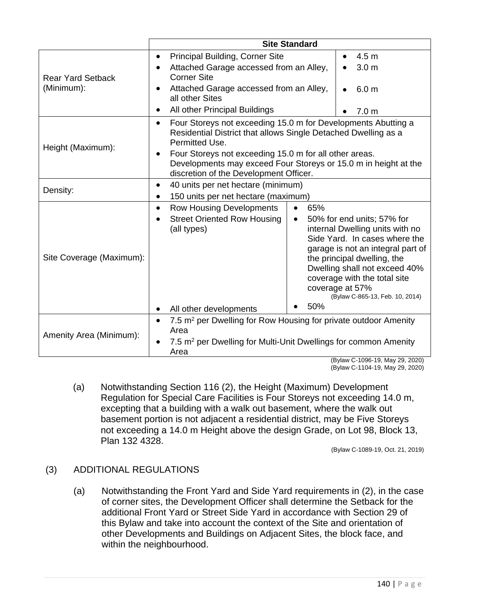|                                        | <b>Site Standard</b>                                                                                                                                                                                                                                                                                                                                                                                                                                |  |  |
|----------------------------------------|-----------------------------------------------------------------------------------------------------------------------------------------------------------------------------------------------------------------------------------------------------------------------------------------------------------------------------------------------------------------------------------------------------------------------------------------------------|--|--|
| <b>Rear Yard Setback</b><br>(Minimum): | Principal Building, Corner Site<br>4.5 <sub>m</sub><br>$\bullet$<br>$\bullet$                                                                                                                                                                                                                                                                                                                                                                       |  |  |
|                                        | Attached Garage accessed from an Alley,<br>3.0 <sub>m</sub><br><b>Corner Site</b>                                                                                                                                                                                                                                                                                                                                                                   |  |  |
|                                        | Attached Garage accessed from an Alley,<br>6.0 <sub>m</sub><br>$\bullet$<br>all other Sites                                                                                                                                                                                                                                                                                                                                                         |  |  |
|                                        | All other Principal Buildings<br>7.0 <sub>m</sub>                                                                                                                                                                                                                                                                                                                                                                                                   |  |  |
| Height (Maximum):                      | Four Storeys not exceeding 15.0 m for Developments Abutting a<br>$\bullet$<br>Residential District that allows Single Detached Dwelling as a<br>Permitted Use.<br>Four Storeys not exceeding 15.0 m for all other areas.<br>$\bullet$<br>Developments may exceed Four Storeys or 15.0 m in height at the<br>discretion of the Development Officer.                                                                                                  |  |  |
| Density:                               | 40 units per net hectare (minimum)<br>$\bullet$                                                                                                                                                                                                                                                                                                                                                                                                     |  |  |
|                                        | 150 units per net hectare (maximum)                                                                                                                                                                                                                                                                                                                                                                                                                 |  |  |
| Site Coverage (Maximum):               | <b>Row Housing Developments</b><br>65%<br>$\bullet$<br><b>Street Oriented Row Housing</b><br>50% for end units; 57% for<br>$\bullet$<br>internal Dwelling units with no<br>(all types)<br>Side Yard. In cases where the<br>garage is not an integral part of<br>the principal dwelling, the<br>Dwelling shall not exceed 40%<br>coverage with the total site<br>coverage at 57%<br>(Bylaw C-865-13, Feb. 10, 2014)<br>50%<br>All other developments |  |  |
|                                        |                                                                                                                                                                                                                                                                                                                                                                                                                                                     |  |  |
| Amenity Area (Minimum):                | 7.5 m <sup>2</sup> per Dwelling for Row Housing for private outdoor Amenity<br>$\bullet$<br>Area<br>7.5 m <sup>2</sup> per Dwelling for Multi-Unit Dwellings for common Amenity                                                                                                                                                                                                                                                                     |  |  |
|                                        | Area                                                                                                                                                                                                                                                                                                                                                                                                                                                |  |  |

(Bylaw C-1096-19, May 29, 2020) (Bylaw C-1104-19, May 29, 2020)

(a) Notwithstanding Section 116 (2), the Height (Maximum) Development Regulation for Special Care Facilities is Four Storeys not exceeding 14.0 m, excepting that a building with a walk out basement, where the walk out basement portion is not adjacent a residential district, may be Five Storeys not exceeding a 14.0 m Height above the design Grade, on Lot 98, Block 13, Plan 132 4328.

(Bylaw C-1089-19, Oct. 21, 2019)

## (3) ADDITIONAL REGULATIONS

(a) Notwithstanding the Front Yard and Side Yard requirements in (2), in the case of corner sites, the Development Officer shall determine the Setback for the additional Front Yard or Street Side Yard in accordance with Section 29 of this Bylaw and take into account the context of the Site and orientation of other Developments and Buildings on Adjacent Sites, the block face, and within the neighbourhood.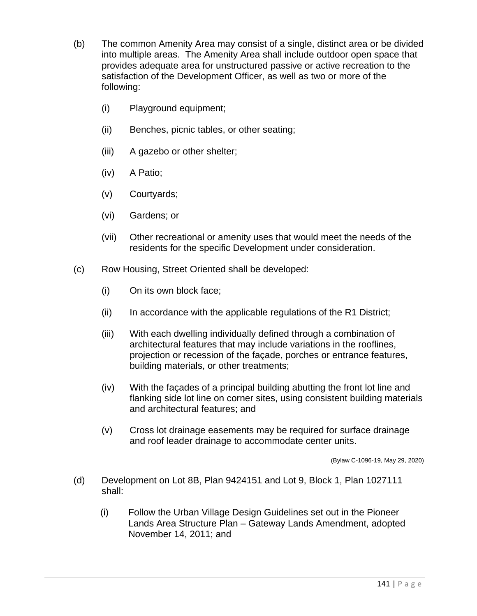- (b) The common Amenity Area may consist of a single, distinct area or be divided into multiple areas. The Amenity Area shall include outdoor open space that provides adequate area for unstructured passive or active recreation to the satisfaction of the Development Officer, as well as two or more of the following:
	- (i) Playground equipment;
	- (ii) Benches, picnic tables, or other seating;
	- (iii) A gazebo or other shelter;
	- (iv) A Patio;
	- (v) Courtyards;
	- (vi) Gardens; or
	- (vii) Other recreational or amenity uses that would meet the needs of the residents for the specific Development under consideration.
- (c) Row Housing, Street Oriented shall be developed:
	- (i) On its own block face;
	- $(ii)$  In accordance with the applicable regulations of the R1 District;
	- (iii) With each dwelling individually defined through a combination of architectural features that may include variations in the rooflines, projection or recession of the façade, porches or entrance features, building materials, or other treatments;
	- (iv) With the façades of a principal building abutting the front lot line and flanking side lot line on corner sites, using consistent building materials and architectural features; and
	- (v) Cross lot drainage easements may be required for surface drainage and roof leader drainage to accommodate center units.

(Bylaw C-1096-19, May 29, 2020)

- (d) Development on Lot 8B, Plan 9424151 and Lot 9, Block 1, Plan 1027111 shall:
	- (i) Follow the Urban Village Design Guidelines set out in the Pioneer Lands Area Structure Plan – Gateway Lands Amendment, adopted November 14, 2011; and